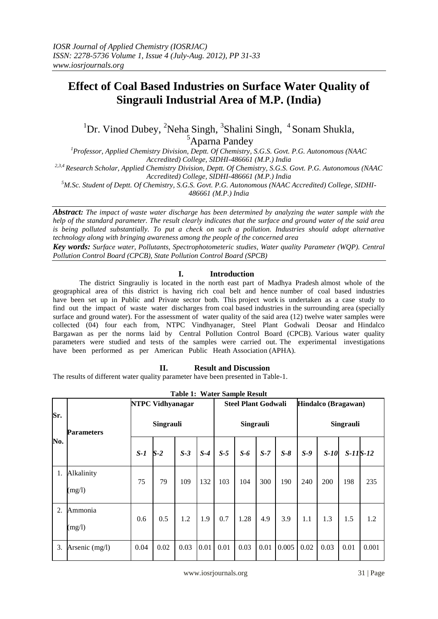# **Effect of Coal Based Industries on Surface Water Quality of Singrauli Industrial Area of M.P. (India)**

<sup>1</sup>Dr. Vinod Dubey, <sup>2</sup>Neha Singh, <sup>3</sup>Shalini Singh, <sup>4</sup>Sonam Shukla, <sup>5</sup>Aparna Pandey

*<sup>1</sup>Professor, Applied Chemistry Division, Deptt. Of Chemistry, S.G.S. Govt. P.G. Autonomous (NAAC* 

*Accredited) College, SIDHI-486661 (M.P.) India 2,3,4 Research Scholar, Applied Chemistry Division, Deptt. Of Chemistry, S.G.S. Govt. P.G. Autonomous (NAAC* 

*Accredited) College, SIDHI-486661 (M.P.) India*

*<sup>5</sup>M.Sc. Student of Deptt. Of Chemistry, S.G.S. Govt. P.G. Autonomous (NAAC Accredited) College, SIDHI-*

*486661 (M.P.) India*

*Abstract: The impact of waste water discharge has been determined by analyzing the water sample with the help of the standard parameter. The result clearly indicates that the surface and ground water of the said area*  is being polluted substantially. To put a check on such a pollution. Industries should adopt alternative *technology along with bringing awareness among the people of the concerned area*

*Key words: Surface water, Pollutants, Spectrophotometeric studies, Water quality Parameter (WQP). Central Pollution Control Board (CPCB), State Pollution Control Board (SPCB)*

### **I. Introduction**

The district Singrauliy is located in the north east part of Madhya Pradesh almost whole of the geographical area of this district is having rich coal belt and hence number of coal based industries have been set up in Public and Private sector both. This project work is undertaken as a case study to find out the impact of waste water discharges from coal based industries in the surrounding area (specially surface and ground water). For the assessment of water quality of the said area (12) twelve water samples were collected (04) four each from, NTPC Vindhyanager, Steel Plant Godwali Deosar and Hindalco Bargawan as per the norms laid by Central Pollution Control Board (CPCB). Various water quality parameters were studied and tests of the samples were carried out. The experimental investigations have been performed as per American Public Heath Association (APHA).

## **II. Result and Discussion**

The results of different water quality parameter have been presented in Table-1.

|     |                      |           | <b>NTPC Vidhyanagar</b> | rabic 1. Watch bampic Result<br><b>Steel Plant Godwali</b> |       |           |       | Hindalco (Bragawan) |       |           |        |            |       |
|-----|----------------------|-----------|-------------------------|------------------------------------------------------------|-------|-----------|-------|---------------------|-------|-----------|--------|------------|-------|
| Sr. | <b>Parameters</b>    | Singrauli |                         |                                                            |       | Singrauli |       |                     |       | Singrauli |        |            |       |
| No. |                      | $S-I$     | $S-2$                   | $S-3$                                                      | $S-4$ | $S-5$     | $S-6$ | $S-7$               | $S-8$ | $S-9$     | $S-10$ | $S-11S-12$ |       |
| 1.  | Alkalinity<br>(mg/l) | 75        | 79                      | 109                                                        | 132   | 103       | 104   | 300                 | 190   | 240       | 200    | 198        | 235   |
| 2.  | Ammonia<br>(mg/l)    | 0.6       | 0.5                     | 1.2                                                        | 1.9   | 0.7       | 1.28  | 4.9                 | 3.9   | 1.1       | 1.3    | 1.5        | 1.2   |
| 3.  | Arsenic (mg/l)       | 0.04      | 0.02                    | 0.03                                                       | 0.01  | 0.01      | 0.03  | 0.01                | 0.005 | 0.02      | 0.03   | 0.01       | 0.001 |

**Table 1: Water Sample Result**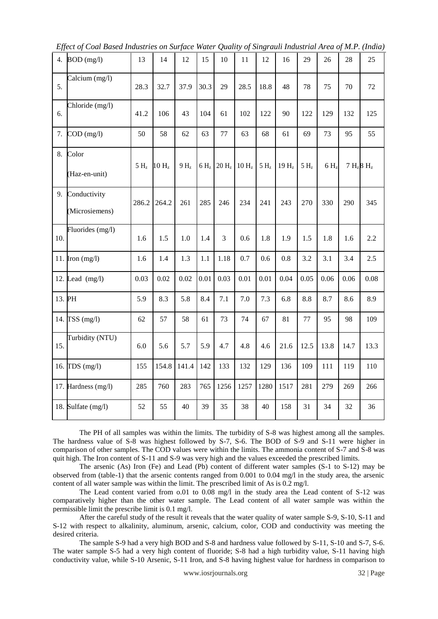*Effect of Coal Based Industries on Surface Water Quality of Singrauli Industrial Area of M.P. (India)*

| 4.  | $BOD$ (mg/l)                   | 13               | 14                | 12              | 15               | 10                | 11                | 12               | 16               | 29               | 26               | 28   | 25            |
|-----|--------------------------------|------------------|-------------------|-----------------|------------------|-------------------|-------------------|------------------|------------------|------------------|------------------|------|---------------|
| 5.  | Calcium (mg/l)                 | 28.3             | 32.7              | 37.9            | 30.3             | 29                | 28.5              | 18.8             | 48               | 78               | 75               | 70   | 72            |
| 6.  | Chloride (mg/l)                | 41.2             | 106               | 43              | 104              | 61                | 102               | 122              | 90               | 122              | 129              | 132  | 125           |
| 7.  | $COD$ (mg/l)                   | 50               | 58                | 62              | 63               | 77                | 63                | 68               | 61               | 69               | 73               | 95   | 55            |
| 8.  | Color<br>(Haz-en-unit)         | 5 H <sub>z</sub> | 10 H <sub>z</sub> | 9H <sub>z</sub> | 6 H <sub>z</sub> | 20 H <sub>z</sub> | 10 H <sub>z</sub> | 5 H <sub>z</sub> | 19H <sub>z</sub> | 5 H <sub>z</sub> | 6 H <sub>z</sub> |      | $7 H_z 8 H_z$ |
| 9.  | Conductivity<br>(Microsiemens) | 286.2            | 264.2             | 261             | 285              | 246               | 234               | 241              | 243              | 270              | 330              | 290  | 345           |
| 10. | Fluorides (mg/l)               | 1.6              | 1.5               | $1.0\,$         | 1.4              | 3                 | 0.6               | 1.8              | 1.9              | 1.5              | 1.8              | 1.6  | 2.2           |
|     | 11. Iron $(mg/l)$              | 1.6              | 1.4               | 1.3             | 1.1              | 1.18              | 0.7               | 0.6              | 0.8              | 3.2              | 3.1              | 3.4  | 2.5           |
|     | 12. Lead $(mg/l)$              | 0.03             | 0.02              | 0.02            | 0.01             | 0.03              | 0.01              | 0.01             | 0.04             | 0.05             | 0.06             | 0.06 | 0.08          |
|     | 13. PH                         | 5.9              | 8.3               | 5.8             | 8.4              | 7.1               | 7.0               | 7.3              | 6.8              | 8.8              | 8.7              | 8.6  | 8.9           |
|     | 14. TSS (mg/l)                 | 62               | 57                | 58              | 61               | 73                | 74                | 67               | 81               | 77               | 95               | 98   | 109           |
| 15. | Turbidity (NTU)                | 6.0              | 5.6               | 5.7             | 5.9              | 4.7               | 4.8               | 4.6              | 21.6             | 12.5             | 13.8             | 14.7 | 13.3          |
|     | 16. $TDS(mg/l)$                | 155              | 154.8             | 141.4           | 142              | 133               | 132               | 129              | 136              | 109              | 111              | 119  | 110           |
|     | 17. Hardness (mg/l)            | 285              | 760               | 283             | 765              | 1256              | 1257              | 1280             | 1517             | 281              | 279              | 269  | 266           |
| 18. | Sulfate (mg/l)                 | 52               | 55                | 40              | 39               | 35                | 38                | 40               | 158              | 31               | 34               | 32   | 36            |

The PH of all samples was within the limits. The turbidity of S-8 was highest among all the samples. The hardness value of S-8 was highest followed by S-7, S-6. The BOD of S-9 and S-11 were higher in comparison of other samples. The COD values were within the limits. The ammonia content of S-7 and S-8 was quit high. The Iron content of S-11 and S-9 was very high and the values exceeded the prescribed limits.

The arsenic (As) Iron (Fe) and Lead (Pb) content of different water samples (S-1 to S-12) may be observed from (table-1) that the arsenic contents ranged from 0.001 to 0.04 mg/l in the study area, the arsenic content of all water sample was within the limit. The prescribed limit of As is 0.2 mg/l.

The Lead content varied from 0.01 to 0.08 mg/l in the study area the Lead content of S-12 was comparatively higher than the other water sample. The Lead content of all water sample was within the permissible limit the prescribe limit is 0.1 mg/l.

After the careful study of the result it reveals that the water quality of water sample S-9, S-10, S-11 and S-12 with respect to alkalinity, aluminum, arsenic, calcium, color, COD and conductivity was meeting the desired criteria.

The sample S-9 had a very high BOD and S-8 and hardness value followed by S-11, S-10 and S-7, S-6. The water sample S-5 had a very high content of fluoride; S-8 had a high turbidity value, S-11 having high conductivity value, while S-10 Arsenic, S-11 Iron, and S-8 having highest value for hardness in comparison to